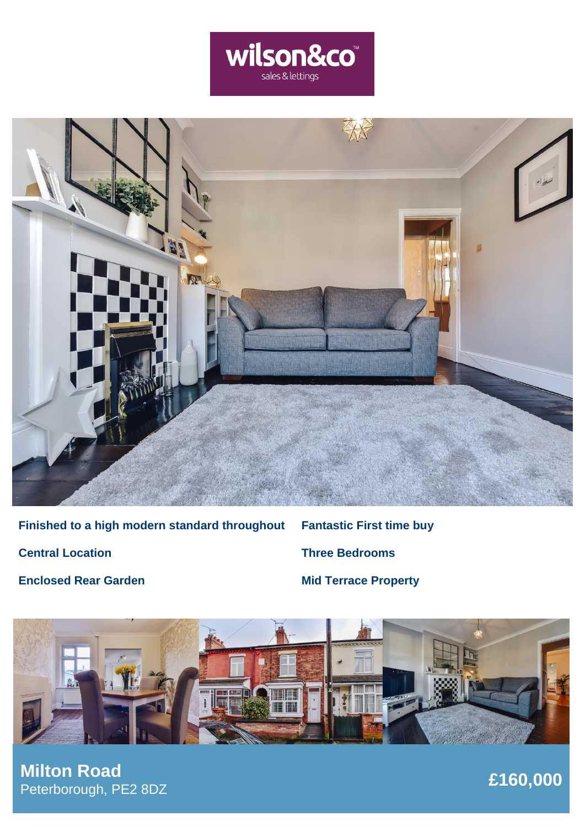



**Finished to a high modern standard throughout Central Location Enclosed Rear Garden**

**Fantastic First time buy Three Bedrooms Mid Terrace Property**



**£160,000 Milton Road** Peterborough, PE2 8DZ